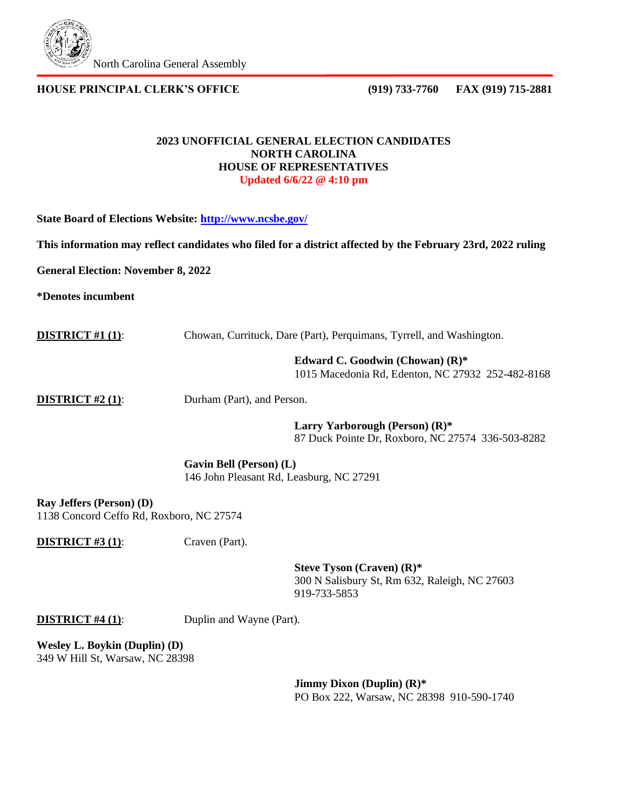

**HOUSE PRINCIPAL CLERK'S OFFICE (919) 733-7760 FAX (919) 715-2881**

## **2023 UNOFFICIAL GENERAL ELECTION CANDIDATES NORTH CAROLINA HOUSE OF REPRESENTATIVES Updated 6/6/22 @ 4:10 pm**

**State Board of Elections Website:<http://www.ncsbe.gov/>**

**This information may reflect candidates who filed for a district affected by the February 23rd, 2022 ruling** 

**General Election: November 8, 2022**

**\*Denotes incumbent**

**DISTRICT #1 (1):** Chowan, Currituck, Dare (Part), Perquimans, Tyrrell, and Washington.

**Edward C. Goodwin (Chowan) (R)\***

1015 Macedonia Rd, Edenton, NC 27932 252-482-8168

**DISTRICT #2 (1):** Durham (Part), and Person.

**Larry Yarborough (Person) (R)\*** 87 Duck Pointe Dr, Roxboro, NC 27574 336-503-8282

**Gavin Bell (Person) (L)** 146 John Pleasant Rd, Leasburg, NC 27291

**Ray Jeffers (Person) (D)** 1138 Concord Ceffo Rd, Roxboro, NC 27574

**DISTRICT #3 (1):** Craven (Part).

**Steve Tyson (Craven) (R)\*** 300 N Salisbury St, Rm 632, Raleigh, NC 27603 919-733-5853

**DISTRICT #4 (1):** Duplin and Wayne (Part).

**Wesley L. Boykin (Duplin) (D)** 349 W Hill St, Warsaw, NC 28398

> **Jimmy Dixon (Duplin) (R)\*** PO Box 222, Warsaw, NC 28398 910-590-1740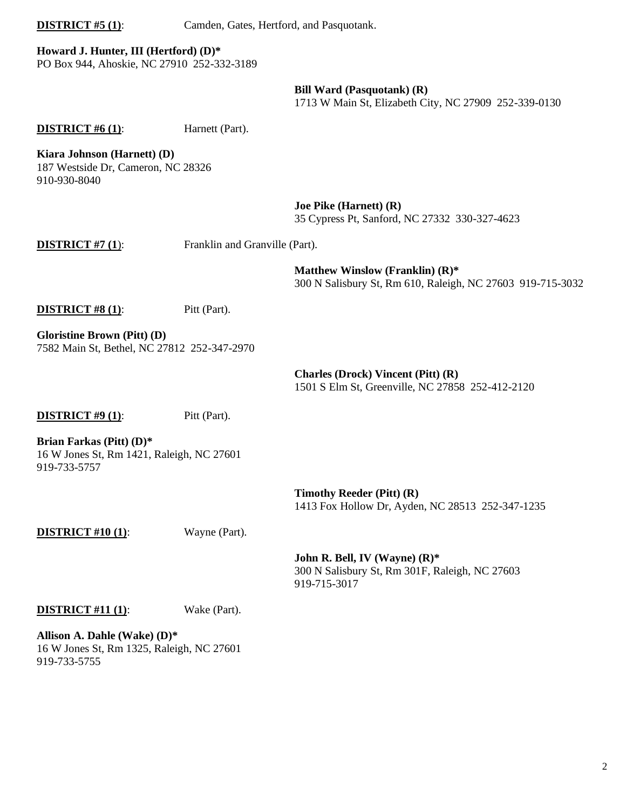**DISTRICT #5 (1):** Camden, Gates, Hertford, and Pasquotank.

## **Howard J. Hunter, III (Hertford) (D)\***

PO Box 944, Ahoskie, NC 27910 252-332-3189

### **Bill Ward (Pasquotank) (R)**

1713 W Main St, Elizabeth City, NC 27909 252-339-0130

**DISTRICT** #6 (1): Harnett (Part).

**Kiara Johnson (Harnett) (D)**

187 Westside Dr, Cameron, NC 28326 910-930-8040

> **Joe Pike (Harnett) (R)** 35 Cypress Pt, Sanford, NC 27332 330-327-4623

**DISTRICT #7 (1):** Franklin and Granville (Part).

**Matthew Winslow (Franklin) (R)\*** 300 N Salisbury St, Rm 610, Raleigh, NC 27603 919-715-3032

## **DISTRICT #8 (1):** Pitt (Part).

**Gloristine Brown (Pitt) (D)** 7582 Main St, Bethel, NC 27812 252-347-2970

> **Charles (Drock) Vincent (Pitt) (R)** 1501 S Elm St, Greenville, NC 27858 252-412-2120

**DISTRICT #9 (1):** Pitt (Part).

**Brian Farkas (Pitt) (D)\*** 16 W Jones St, Rm 1421, Raleigh, NC 27601 919-733-5757

> **Timothy Reeder (Pitt) (R)** 1413 Fox Hollow Dr, Ayden, NC 28513 252-347-1235

**DISTRICT** #10 (1): Wayne (Part).

**John R. Bell, IV (Wayne) (R)\*** 300 N Salisbury St, Rm 301F, Raleigh, NC 27603 919-715-3017

### **DISTRICT #11 (1)**: Wake (Part).

**Allison A. Dahle (Wake) (D)\*** 16 W Jones St, Rm 1325, Raleigh, NC 27601 919-733-5755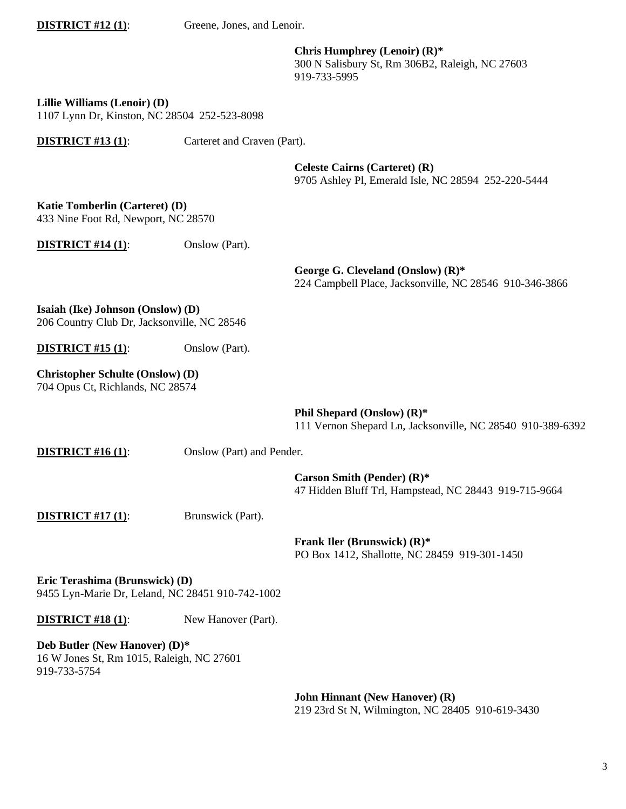| <b>DISTRICT #12 (1):</b> |
|--------------------------|
|--------------------------|

Greene, Jones, and Lenoir.

**Chris Humphrey (Lenoir) (R)\*** 300 N Salisbury St, Rm 306B2, Raleigh, NC 27603 919-733-5995

**Lillie Williams (Lenoir) (D)**

1107 Lynn Dr, Kinston, NC 28504 252-523-8098

**DISTRICT #13 (1)**: Carteret and Craven (Part).

**Celeste Cairns (Carteret) (R)** 9705 Ashley Pl, Emerald Isle, NC 28594 252-220-5444

**Katie Tomberlin (Carteret) (D)** 433 Nine Foot Rd, Newport, NC 28570

**DISTRICT** #14 (1): Onslow (Part).

**George G. Cleveland (Onslow) (R)\*** 224 Campbell Place, Jacksonville, NC 28546 910-346-3866

**Isaiah (Ike) Johnson (Onslow) (D)** 206 Country Club Dr, Jacksonville, NC 28546

**DISTRICT #15 (1):** Onslow (Part).

**Christopher Schulte (Onslow) (D)** 704 Opus Ct, Richlands, NC 28574

> **Phil Shepard (Onslow) (R)\*** 111 Vernon Shepard Ln, Jacksonville, NC 28540 910-389-6392

**DISTRICT** #16 (1): Onslow (Part) and Pender.

**Carson Smith (Pender) (R)\*** 47 Hidden Bluff Trl, Hampstead, NC 28443 919-715-9664

**DISTRICT #17 (1):** Brunswick (Part).

**Frank Iler (Brunswick) (R)\*** PO Box 1412, Shallotte, NC 28459 919-301-1450

**Eric Terashima (Brunswick) (D)** 9455 Lyn-Marie Dr, Leland, NC 28451 910-742-1002

**DISTRICT #18 (1):** New Hanover (Part).

**Deb Butler (New Hanover) (D)\***  16 W Jones St, Rm 1015, Raleigh, NC 27601 919-733-5754

> **John Hinnant (New Hanover) (R)** 219 23rd St N, Wilmington, NC 28405 910-619-3430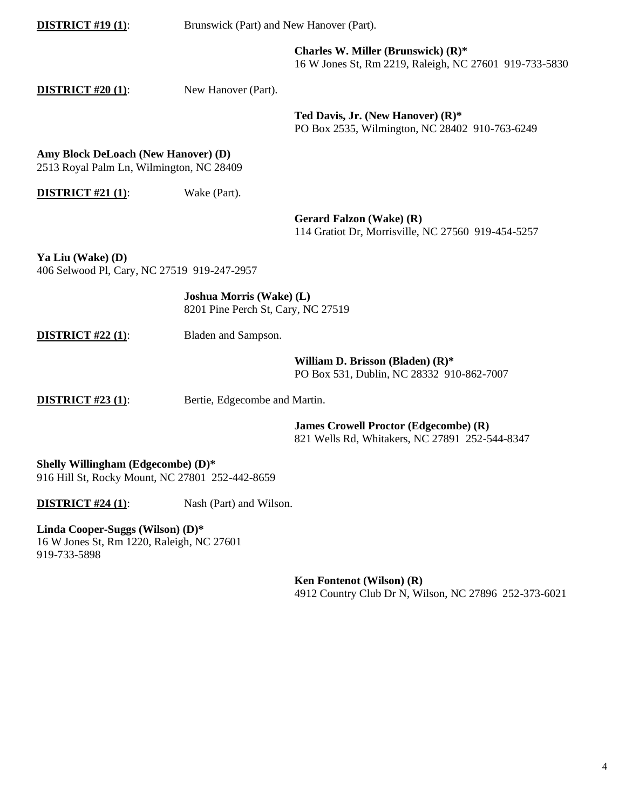| <b>DISTRICT #19 (1):</b>                                                              | Brunswick (Part) and New Hanover (Part).                              |                                                                                                |  |
|---------------------------------------------------------------------------------------|-----------------------------------------------------------------------|------------------------------------------------------------------------------------------------|--|
|                                                                                       |                                                                       | Charles W. Miller (Brunswick) (R)*<br>16 W Jones St, Rm 2219, Raleigh, NC 27601 919-733-5830   |  |
| <b>DISTRICT #20 (1):</b>                                                              | New Hanover (Part).                                                   |                                                                                                |  |
|                                                                                       |                                                                       | Ted Davis, Jr. (New Hanover) (R)*<br>PO Box 2535, Wilmington, NC 28402 910-763-6249            |  |
| Amy Block DeLoach (New Hanover) (D)<br>2513 Royal Palm Ln, Wilmington, NC 28409       |                                                                       |                                                                                                |  |
| <b>DISTRICT #21 (1):</b>                                                              | Wake (Part).                                                          |                                                                                                |  |
|                                                                                       |                                                                       | Gerard Falzon (Wake) (R)<br>114 Gratiot Dr, Morrisville, NC 27560 919-454-5257                 |  |
| Ya Liu (Wake) (D)<br>406 Selwood Pl, Cary, NC 27519 919-247-2957                      |                                                                       |                                                                                                |  |
|                                                                                       | <b>Joshua Morris (Wake) (L)</b><br>8201 Pine Perch St, Cary, NC 27519 |                                                                                                |  |
| <b>DISTRICT #22 (1):</b>                                                              | Bladen and Sampson.                                                   |                                                                                                |  |
|                                                                                       |                                                                       | William D. Brisson (Bladen) (R)*<br>PO Box 531, Dublin, NC 28332 910-862-7007                  |  |
| <b>DISTRICT #23 (1):</b>                                                              |                                                                       | Bertie, Edgecombe and Martin.                                                                  |  |
|                                                                                       |                                                                       | <b>James Crowell Proctor (Edgecombe) (R)</b><br>821 Wells Rd, Whitakers, NC 27891 252-544-8347 |  |
| Shelly Willingham (Edgecombe) (D)*<br>916 Hill St, Rocky Mount, NC 27801 252-442-8659 |                                                                       |                                                                                                |  |
| <b>DISTRICT #24 (1):</b>                                                              | Nash (Part) and Wilson.                                               |                                                                                                |  |
| $\sim$<br>$\sim$ $\sim$ $\sim$ $\sim$                                                 | <b><i>Shareholders</i></b>                                            |                                                                                                |  |

**Linda Cooper-Suggs (Wilson) (D)\***  16 W Jones St, Rm 1220, Raleigh, NC 27601 919-733-5898

> **Ken Fontenot (Wilson) (R)** 4912 Country Club Dr N, Wilson, NC 27896 252-373-6021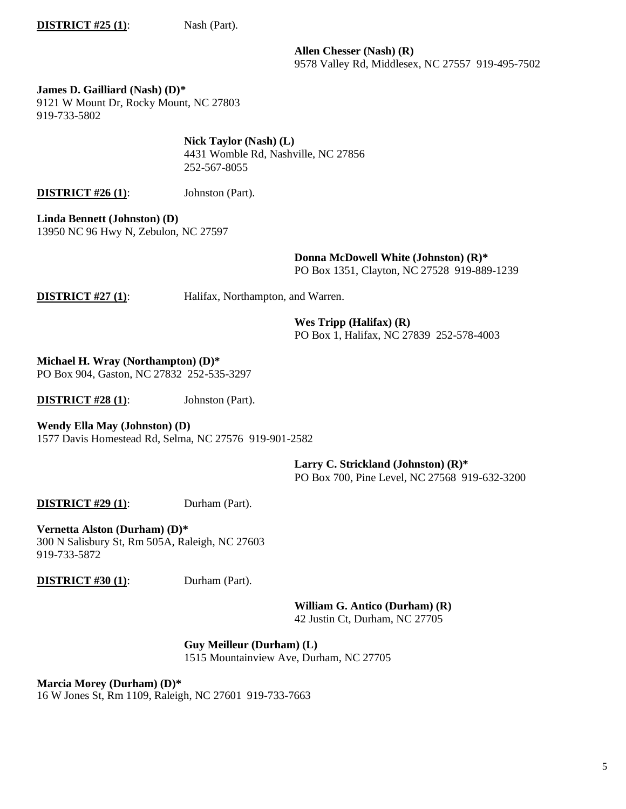**DISTRICT #25 (1):** Nash (Part).

**Allen Chesser (Nash) (R)** 9578 Valley Rd, Middlesex, NC 27557 919-495-7502

**James D. Gailliard (Nash) (D)\*** 9121 W Mount Dr, Rocky Mount, NC 27803 919-733-5802

> **Nick Taylor (Nash) (L)** 4431 Womble Rd, Nashville, NC 27856 252-567-8055

**DISTRICT #26 (1):** Johnston (Part).

**Linda Bennett (Johnston) (D)** 13950 NC 96 Hwy N, Zebulon, NC 27597

> **Donna McDowell White (Johnston) (R)\*** PO Box 1351, Clayton, NC 27528 919-889-1239

**DISTRICT #27 (1):** Halifax, Northampton, and Warren.

**Wes Tripp (Halifax) (R)** PO Box 1, Halifax, NC 27839 252-578-4003

**Michael H. Wray (Northampton) (D)\*** PO Box 904, Gaston, NC 27832 252-535-3297

**DISTRICT #28 (1):** Johnston (Part).

**Wendy Ella May (Johnston) (D)**

1577 Davis Homestead Rd, Selma, NC 27576 919-901-2582

**Larry C. Strickland (Johnston) (R)\*** PO Box 700, Pine Level, NC 27568 919-632-3200

**DISTRICT #29 (1):** Durham (Part).

**Vernetta Alston (Durham) (D)\*** 300 N Salisbury St, Rm 505A, Raleigh, NC 27603 919-733-5872

**DISTRICT #30 (1):** Durham (Part).

**William G. Antico (Durham) (R)** 42 Justin Ct, Durham, NC 27705

**Guy Meilleur (Durham) (L)** 1515 Mountainview Ave, Durham, NC 27705

**Marcia Morey (Durham) (D)\***  16 W Jones St, Rm 1109, Raleigh, NC 27601 919-733-7663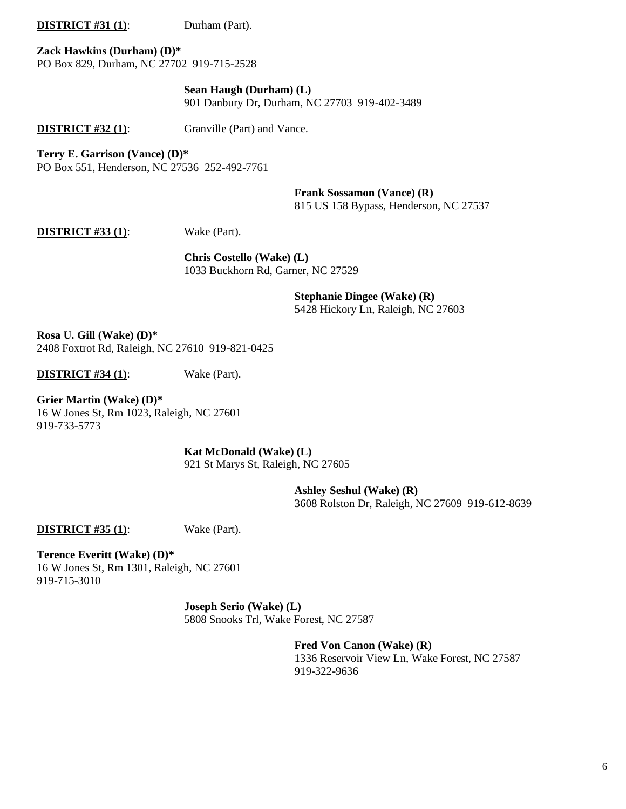**DISTRICT #31 (1):** Durham (Part).

**Zack Hawkins (Durham) (D)\*** PO Box 829, Durham, NC 27702 919-715-2528

> **Sean Haugh (Durham) (L)** 901 Danbury Dr, Durham, NC 27703 919-402-3489

**DISTRICT #32 (1):** Granville (Part) and Vance.

**Terry E. Garrison (Vance) (D)\***

PO Box 551, Henderson, NC 27536 252-492-7761

**Frank Sossamon (Vance) (R)**

815 US 158 Bypass, Henderson, NC 27537

**DISTRICT #33 (1)**: Wake (Part).

**Chris Costello (Wake) (L)** 1033 Buckhorn Rd, Garner, NC 27529

> **Stephanie Dingee (Wake) (R)** 5428 Hickory Ln, Raleigh, NC 27603

**Rosa U. Gill (Wake) (D)\*** 2408 Foxtrot Rd, Raleigh, NC 27610 919-821-0425

**DISTRICT #34 (1)**: Wake (Part).

**Grier Martin (Wake) (D)\*** 16 W Jones St, Rm 1023, Raleigh, NC 27601 919-733-5773

> **Kat McDonald (Wake) (L)** 921 St Marys St, Raleigh, NC 27605

> > **Ashley Seshul (Wake) (R)** 3608 Rolston Dr, Raleigh, NC 27609 919-612-8639

**DISTRICT #35 (1)**: Wake (Part).

**Terence Everitt (Wake) (D)\*** 16 W Jones St, Rm 1301, Raleigh, NC 27601 919-715-3010

> **Joseph Serio (Wake) (L)** 5808 Snooks Trl, Wake Forest, NC 27587

> > **Fred Von Canon (Wake) (R)** 1336 Reservoir View Ln, Wake Forest, NC 27587 919-322-9636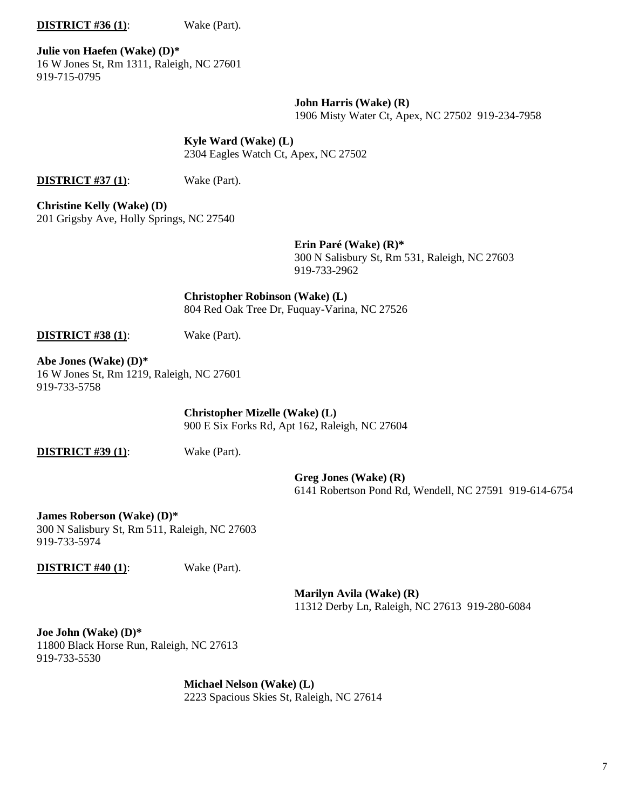#### **DISTRICT #36 (1):** Wake (Part).

**Julie von Haefen (Wake) (D)\*** 16 W Jones St, Rm 1311, Raleigh, NC 27601 919-715-0795

> **John Harris (Wake) (R)** 1906 Misty Water Ct, Apex, NC 27502 919-234-7958

## **Kyle Ward (Wake) (L)**

2304 Eagles Watch Ct, Apex, NC 27502

**DISTRICT #37 (1)**: Wake (Part).

**Christine Kelly (Wake) (D)** 201 Grigsby Ave, Holly Springs, NC 27540

**Erin Paré (Wake) (R)\***

300 N Salisbury St, Rm 531, Raleigh, NC 27603 919-733-2962

**Christopher Robinson (Wake) (L)** 804 Red Oak Tree Dr, Fuquay-Varina, NC 27526

**DISTRICT #38 (1)**: Wake (Part).

**Abe Jones (Wake) (D)\*** 16 W Jones St, Rm 1219, Raleigh, NC 27601 919-733-5758

> **Christopher Mizelle (Wake) (L)** 900 E Six Forks Rd, Apt 162, Raleigh, NC 27604

**DISTRICT #39 (1)**: Wake (Part).

**Greg Jones (Wake) (R)** 6141 Robertson Pond Rd, Wendell, NC 27591 919-614-6754

**James Roberson (Wake) (D)\***  300 N Salisbury St, Rm 511, Raleigh, NC 27603 919-733-5974

**DISTRICT #40 (1):** Wake (Part).

**Marilyn Avila (Wake) (R)** 11312 Derby Ln, Raleigh, NC 27613 919-280-6084

**Joe John (Wake) (D)\*** 11800 Black Horse Run, Raleigh, NC 27613 919-733-5530

> **Michael Nelson (Wake) (L)** 2223 Spacious Skies St, Raleigh, NC 27614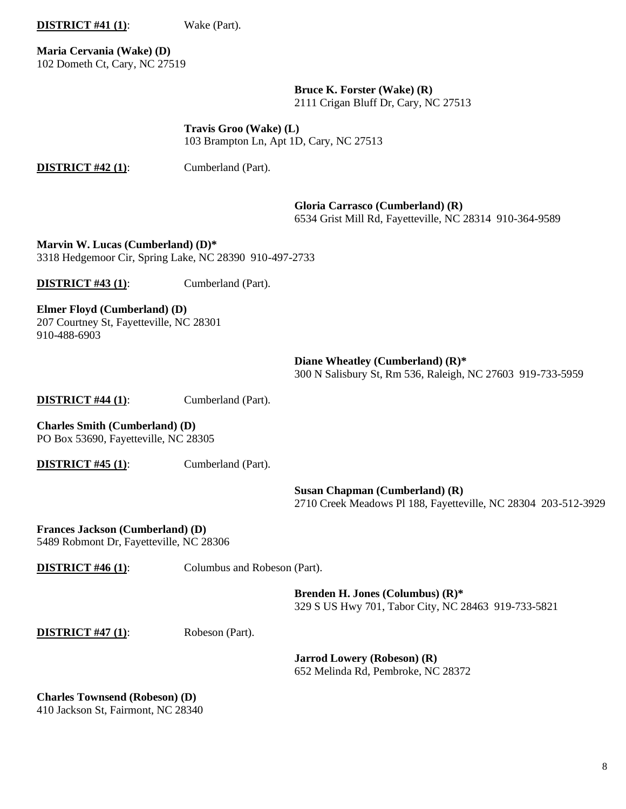**DISTRICT #41 (1)**: Wake (Part).

**Maria Cervania (Wake) (D)** 102 Dometh Ct, Cary, NC 27519

> **Bruce K. Forster (Wake) (R)** 2111 Crigan Bluff Dr, Cary, NC 27513

**Travis Groo (Wake) (L)** 103 Brampton Ln, Apt 1D, Cary, NC 27513

**DISTRICT #42 (1):** Cumberland (Part).

**Gloria Carrasco (Cumberland) (R)**

6534 Grist Mill Rd, Fayetteville, NC 28314 910-364-9589

**Marvin W. Lucas (Cumberland) (D)\*** 3318 Hedgemoor Cir, Spring Lake, NC 28390 910-497-2733

**DISTRICT #43 (1):** Cumberland (Part).

## **Elmer Floyd (Cumberland) (D)**

207 Courtney St, Fayetteville, NC 28301 910-488-6903

> **Diane Wheatley (Cumberland) (R)\*** 300 N Salisbury St, Rm 536, Raleigh, NC 27603 919-733-5959

**DISTRICT #44 (1):** Cumberland (Part).

**Charles Smith (Cumberland) (D)** PO Box 53690, Fayetteville, NC 28305

**DISTRICT #45 (1):** Cumberland (Part).

**Susan Chapman (Cumberland) (R)** 2710 Creek Meadows Pl 188, Fayetteville, NC 28304 203-512-3929

**Frances Jackson (Cumberland) (D)** 5489 Robmont Dr, Fayetteville, NC 28306

**DISTRICT #46 (1):** Columbus and Robeson (Part).

**Brenden H. Jones (Columbus) (R)\*** 329 S US Hwy 701, Tabor City, NC 28463 919-733-5821

**DISTRICT #47 (1)**: Robeson (Part).

**Jarrod Lowery (Robeson) (R)** 652 Melinda Rd, Pembroke, NC 28372

**Charles Townsend (Robeson) (D)** 410 Jackson St, Fairmont, NC 28340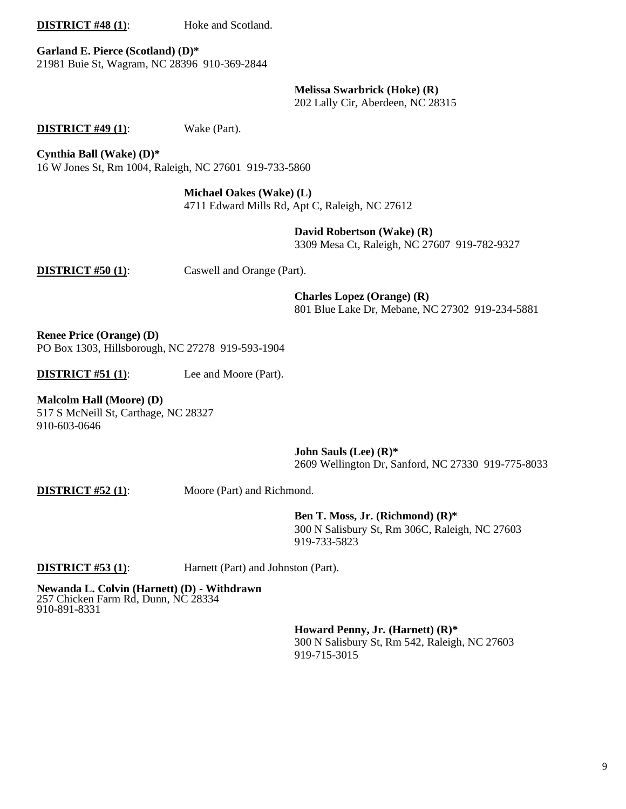**DISTRICT #48 (1):** Hoke and Scotland.

**Garland E. Pierce (Scotland) (D)\*** 21981 Buie St, Wagram, NC 28396 910-369-2844

**Melissa Swarbrick (Hoke) (R)**

202 Lally Cir, Aberdeen, NC 28315

**DISTRICT #49 (1)**: Wake (Part).

**Cynthia Ball (Wake) (D)\***

16 W Jones St, Rm 1004, Raleigh, NC 27601 919-733-5860

**Michael Oakes (Wake) (L)**

4711 Edward Mills Rd, Apt C, Raleigh, NC 27612

**David Robertson (Wake) (R)**

3309 Mesa Ct, Raleigh, NC 27607 919-782-9327

**DISTRICT #50 (1):** Caswell and Orange (Part).

**Charles Lopez (Orange) (R)**

801 Blue Lake Dr, Mebane, NC 27302 919-234-5881

**Renee Price (Orange) (D)** PO Box 1303, Hillsborough, NC 27278 919-593-1904

**DISTRICT #51 (1):** Lee and Moore (Part).

**Malcolm Hall (Moore) (D)** 517 S McNeill St, Carthage, NC 28327 910-603-0646

> **John Sauls (Lee) (R)\*** 2609 Wellington Dr, Sanford, NC 27330 919-775-8033

**DISTRICT #52 (1):** Moore (Part) and Richmond.

**Ben T. Moss, Jr. (Richmond) (R)\*** 300 N Salisbury St, Rm 306C, Raleigh, NC 27603 919-733-5823

**DISTRICT #53 (1)**: Harnett (Part) and Johnston (Part).

**Newanda L. Colvin (Harnett) (D) - Withdrawn** 257 Chicken Farm Rd, Dunn, NC 28334 910-891-8331

> **Howard Penny, Jr. (Harnett) (R)\*** 300 N Salisbury St, Rm 542, Raleigh, NC 27603 919-715-3015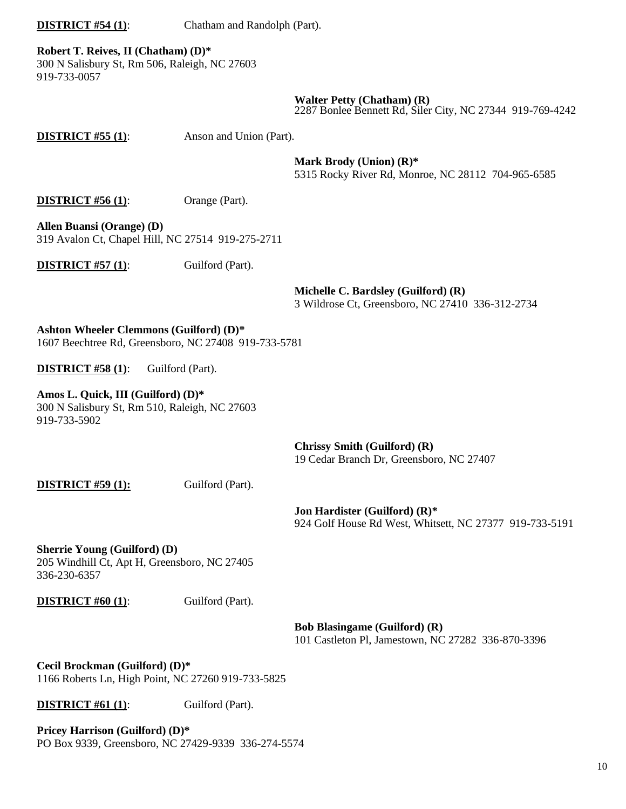**DISTRICT #54 (1)**: Chatham and Randolph (Part).

**Robert T. Reives, II (Chatham) (D)\*** 300 N Salisbury St, Rm 506, Raleigh, NC 27603 919-733-0057

**Walter Petty (Chatham) (R)**

2287 Bonlee Bennett Rd, Siler City, NC 27344 919-769-4242

**DISTRICT #55 (1):** Anson and Union (Part).

**Mark Brody (Union) (R)\***

5315 Rocky River Rd, Monroe, NC 28112 704-965-6585

**DISTRICT #56 (1):** Orange (Part).

**Allen Buansi (Orange) (D)** 319 Avalon Ct, Chapel Hill, NC 27514 919-275-2711

**DISTRICT #57 (1):** Guilford (Part).

**Michelle C. Bardsley (Guilford) (R)** 3 Wildrose Ct, Greensboro, NC 27410 336-312-2734

**Ashton Wheeler Clemmons (Guilford) (D)\*** 1607 Beechtree Rd, Greensboro, NC 27408 919-733-5781

**DISTRICT #58 (1):** Guilford (Part).

**Amos L. Quick, III (Guilford) (D)\***

300 N Salisbury St, Rm 510, Raleigh, NC 27603 919-733-5902

> **Chrissy Smith (Guilford) (R)** 19 Cedar Branch Dr, Greensboro, NC 27407

**DISTRICT #59 (1):** Guilford (Part).

**Jon Hardister (Guilford) (R)\*** 924 Golf House Rd West, Whitsett, NC 27377 919-733-5191

**Sherrie Young (Guilford) (D)** 205 Windhill Ct, Apt H, Greensboro, NC 27405 336-230-6357

**DISTRICT #60 (1):** Guilford (Part).

**Bob Blasingame (Guilford) (R)** 101 Castleton Pl, Jamestown, NC 27282 336-870-3396

**Cecil Brockman (Guilford) (D)\*** 1166 Roberts Ln, High Point, NC 27260 919-733-5825

**DISTRICT #61 (1):** Guilford (Part).

**Pricey Harrison (Guilford) (D)\*** PO Box 9339, Greensboro, NC 27429-9339 336-274-5574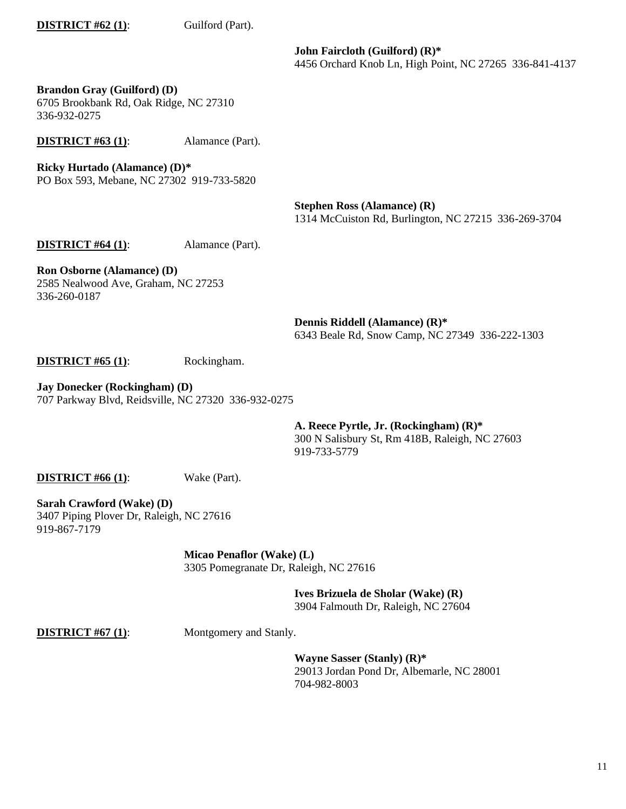## **DISTRICT #62 (1):** Guilford (Part).

**John Faircloth (Guilford) (R)\*** 4456 Orchard Knob Ln, High Point, NC 27265 336-841-4137

**Brandon Gray (Guilford) (D)** 6705 Brookbank Rd, Oak Ridge, NC 27310 336-932-0275

**DISTRICT #63 (1):** Alamance (Part).

**Ricky Hurtado (Alamance) (D)\*** PO Box 593, Mebane, NC 27302 919-733-5820

> **Stephen Ross (Alamance) (R)** 1314 McCuiston Rd, Burlington, NC 27215 336-269-3704

**DISTRICT #64 (1):** Alamance (Part).

**Ron Osborne (Alamance) (D)** 2585 Nealwood Ave, Graham, NC 27253 336-260-0187

> **Dennis Riddell (Alamance) (R)\*** 6343 Beale Rd, Snow Camp, NC 27349 336-222-1303

**DISTRICT #65 (1)**: Rockingham.

**Jay Donecker (Rockingham) (D)** 707 Parkway Blvd, Reidsville, NC 27320 336-932-0275

> **A. Reece Pyrtle, Jr. (Rockingham) (R)\***  300 N Salisbury St, Rm 418B, Raleigh, NC 27603 919-733-5779

**DISTRICT #66 (1):** Wake (Part).

**Sarah Crawford (Wake) (D)** 3407 Piping Plover Dr, Raleigh, NC 27616 919-867-7179

> **Micao Penaflor (Wake) (L)** 3305 Pomegranate Dr, Raleigh, NC 27616

> > **Ives Brizuela de Sholar (Wake) (R)** 3904 Falmouth Dr, Raleigh, NC 27604

**DISTRICT #67 (1):** Montgomery and Stanly.

**Wayne Sasser (Stanly) (R)\*** 29013 Jordan Pond Dr, Albemarle, NC 28001 704-982-8003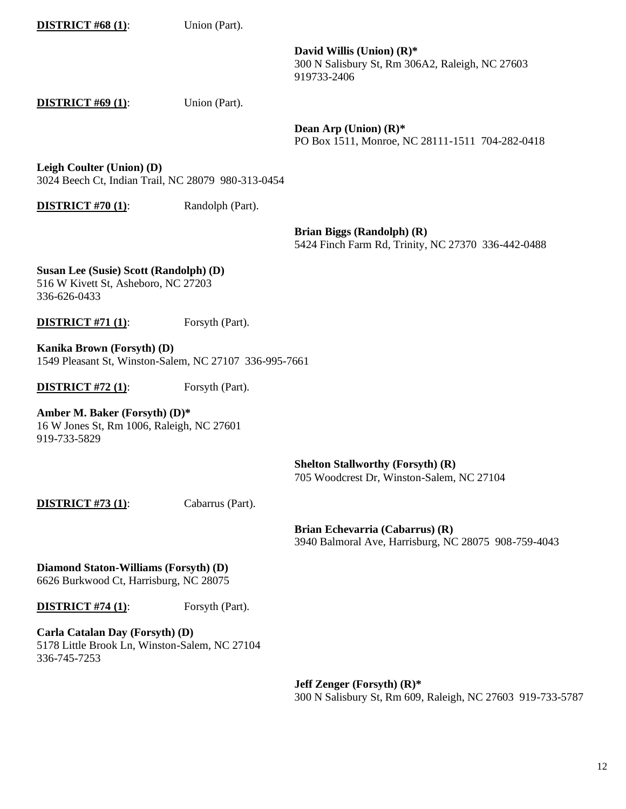### **DISTRICT #68 (1):** Union (Part).

**David Willis (Union) (R)\*** 300 N Salisbury St, Rm 306A2, Raleigh, NC 27603 919733-2406

**DISTRICT #69 (1):** Union (Part).

**Dean Arp (Union) (R)\*** PO Box 1511, Monroe, NC 28111-1511 704-282-0418

**Leigh Coulter (Union) (D)** 3024 Beech Ct, Indian Trail, NC 28079 980-313-0454

**DISTRICT #70 (1):** Randolph (Part).

**Brian Biggs (Randolph) (R)** 5424 Finch Farm Rd, Trinity, NC 27370 336-442-0488

**Susan Lee (Susie) Scott (Randolph) (D)**

516 W Kivett St, Asheboro, NC 27203 336-626-0433

**DISTRICT #71 (1):** For Forsyth (Part).

**Kanika Brown (Forsyth) (D)** 1549 Pleasant St, Winston-Salem, NC 27107 336-995-7661

**DISTRICT #72 (1):** Forsyth (Part).

**Amber M. Baker (Forsyth) (D)\*** 16 W Jones St, Rm 1006, Raleigh, NC 27601 919-733-5829

> **Shelton Stallworthy (Forsyth) (R)** 705 Woodcrest Dr, Winston-Salem, NC 27104

**DISTRICT #73 (1):** Cabarrus (Part).

**Brian Echevarria (Cabarrus) (R)** 3940 Balmoral Ave, Harrisburg, NC 28075 908-759-4043

**Diamond Staton-Williams (Forsyth) (D)** 6626 Burkwood Ct, Harrisburg, NC 28075

**DISTRICT #74 (1):** Forsyth (Part).

**Carla Catalan Day (Forsyth) (D)** 5178 Little Brook Ln, Winston-Salem, NC 27104 336-745-7253

> **Jeff Zenger (Forsyth) (R)\*** 300 N Salisbury St, Rm 609, Raleigh, NC 27603 919-733-5787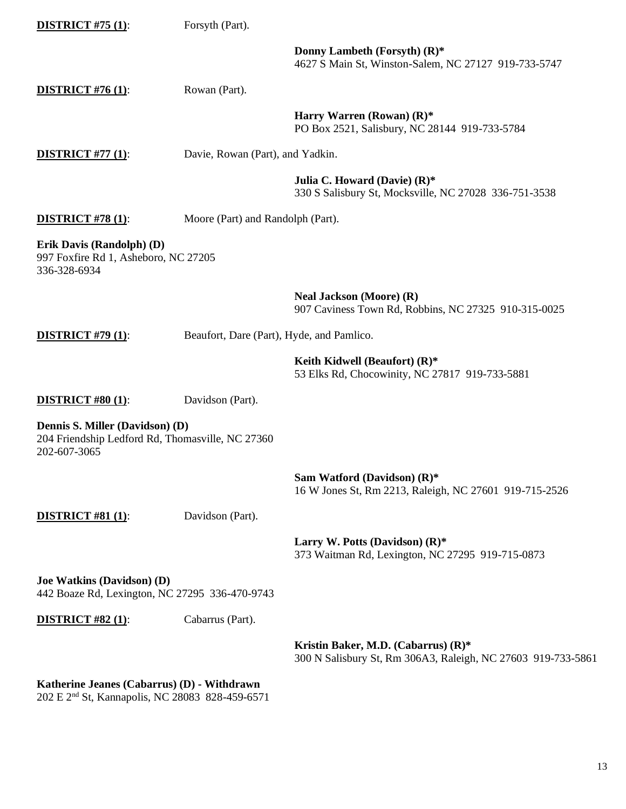| <b>DISTRICT #75 (1):</b>                                                                            | Forsyth (Part).                           |                                                                                                     |
|-----------------------------------------------------------------------------------------------------|-------------------------------------------|-----------------------------------------------------------------------------------------------------|
|                                                                                                     |                                           | Donny Lambeth (Forsyth) (R)*<br>4627 S Main St, Winston-Salem, NC 27127 919-733-5747                |
| <b>DISTRICT #76 (1):</b>                                                                            | Rowan (Part).                             |                                                                                                     |
|                                                                                                     |                                           | Harry Warren (Rowan) $(R)^*$<br>PO Box 2521, Salisbury, NC 28144 919-733-5784                       |
| <b>DISTRICT #77 (1):</b>                                                                            | Davie, Rowan (Part), and Yadkin.          |                                                                                                     |
|                                                                                                     |                                           | Julia C. Howard (Davie) (R)*<br>330 S Salisbury St, Mocksville, NC 27028 336-751-3538               |
| <b>DISTRICT #78 (1):</b>                                                                            | Moore (Part) and Randolph (Part).         |                                                                                                     |
| Erik Davis (Randolph) (D)<br>997 Foxfire Rd 1, Asheboro, NC 27205<br>336-328-6934                   |                                           |                                                                                                     |
|                                                                                                     |                                           | <b>Neal Jackson (Moore) (R)</b><br>907 Caviness Town Rd, Robbins, NC 27325 910-315-0025             |
| <b>DISTRICT #79 (1):</b>                                                                            | Beaufort, Dare (Part), Hyde, and Pamlico. |                                                                                                     |
|                                                                                                     |                                           | Keith Kidwell (Beaufort) $(R)^*$<br>53 Elks Rd, Chocowinity, NC 27817 919-733-5881                  |
| <b>DISTRICT #80 (1):</b>                                                                            | Davidson (Part).                          |                                                                                                     |
| Dennis S. Miller (Davidson) (D)<br>204 Friendship Ledford Rd, Thomasville, NC 27360<br>202-607-3065 |                                           |                                                                                                     |
|                                                                                                     |                                           | Sam Watford (Davidson) (R)*<br>16 W Jones St, Rm 2213, Raleigh, NC 27601 919-715-2526               |
| <b>DISTRICT #81 (1):</b>                                                                            | Davidson (Part).                          |                                                                                                     |
|                                                                                                     |                                           | Larry W. Potts (Davidson) $(R)^*$<br>373 Waitman Rd, Lexington, NC 27295 919-715-0873               |
| Joe Watkins (Davidson) (D)<br>442 Boaze Rd, Lexington, NC 27295 336-470-9743                        |                                           |                                                                                                     |
| <b>DISTRICT #82 (1):</b>                                                                            | Cabarrus (Part).                          |                                                                                                     |
|                                                                                                     |                                           | Kristin Baker, M.D. (Cabarrus) (R)*<br>300 N Salisbury St, Rm 306A3, Raleigh, NC 27603 919-733-5861 |

#### **Katherine Jeanes (Cabarrus) (D) - Withdrawn**

202 E 2nd St, Kannapolis, NC 28083 828-459-6571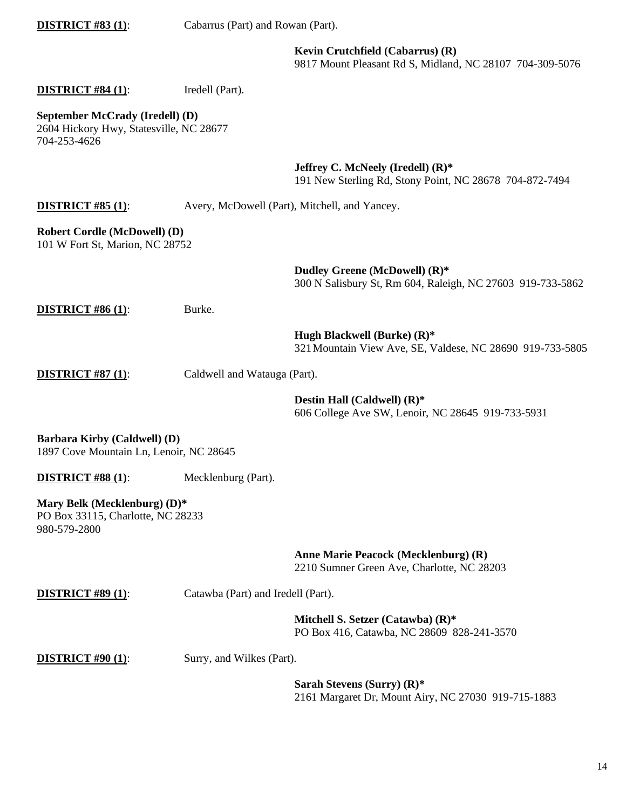|                                                                                            |                                    | Kevin Crutchfield (Cabarrus) (R)<br>9817 Mount Pleasant Rd S, Midland, NC 28107 704-309-5076    |
|--------------------------------------------------------------------------------------------|------------------------------------|-------------------------------------------------------------------------------------------------|
| <b>DISTRICT #84 (1):</b>                                                                   | Iredell (Part).                    |                                                                                                 |
| September McCrady (Iredell) (D)<br>2604 Hickory Hwy, Statesville, NC 28677<br>704-253-4626 |                                    |                                                                                                 |
|                                                                                            |                                    | Jeffrey C. McNeely (Iredell) $(R)^*$<br>191 New Sterling Rd, Stony Point, NC 28678 704-872-7494 |
| <b>DISTRICT #85 (1):</b>                                                                   |                                    | Avery, McDowell (Part), Mitchell, and Yancey.                                                   |
| <b>Robert Cordle (McDowell) (D)</b><br>101 W Fort St, Marion, NC 28752                     |                                    |                                                                                                 |
|                                                                                            |                                    | Dudley Greene (McDowell) (R)*<br>300 N Salisbury St, Rm 604, Raleigh, NC 27603 919-733-5862     |
| <b>DISTRICT #86 (1):</b>                                                                   | Burke.                             |                                                                                                 |
|                                                                                            |                                    | Hugh Blackwell (Burke) (R)*<br>321 Mountain View Ave, SE, Valdese, NC 28690 919-733-5805        |
| <b>DISTRICT #87 (1):</b>                                                                   | Caldwell and Watauga (Part).       |                                                                                                 |
|                                                                                            |                                    | Destin Hall (Caldwell) (R)*<br>606 College Ave SW, Lenoir, NC 28645 919-733-5931                |
| Barbara Kirby (Caldwell) (D)<br>1897 Cove Mountain Ln, Lenoir, NC 28645                    |                                    |                                                                                                 |
| <b>DISTRICT #88 (1):</b>                                                                   | Mecklenburg (Part).                |                                                                                                 |
| Mary Belk (Mecklenburg) (D)*<br>PO Box 33115, Charlotte, NC 28233<br>980-579-2800          |                                    |                                                                                                 |
|                                                                                            |                                    | Anne Marie Peacock (Mecklenburg) (R)<br>2210 Sumner Green Ave, Charlotte, NC 28203              |
| <b>DISTRICT #89 (1):</b>                                                                   | Catawba (Part) and Iredell (Part). |                                                                                                 |
|                                                                                            |                                    | Mitchell S. Setzer (Catawba) (R)*<br>PO Box 416, Catawba, NC 28609 828-241-3570                 |
| <b>DISTRICT #90 (1):</b>                                                                   | Surry, and Wilkes (Part).          |                                                                                                 |
|                                                                                            |                                    | Sarah Stevens (Surry) $(R)^*$<br>2161 Margaret Dr, Mount Airy, NC 27030 919-715-1883            |
|                                                                                            |                                    |                                                                                                 |

**DISTRICT #83 (1)**: Cabarrus (Part) and Rowan (Part).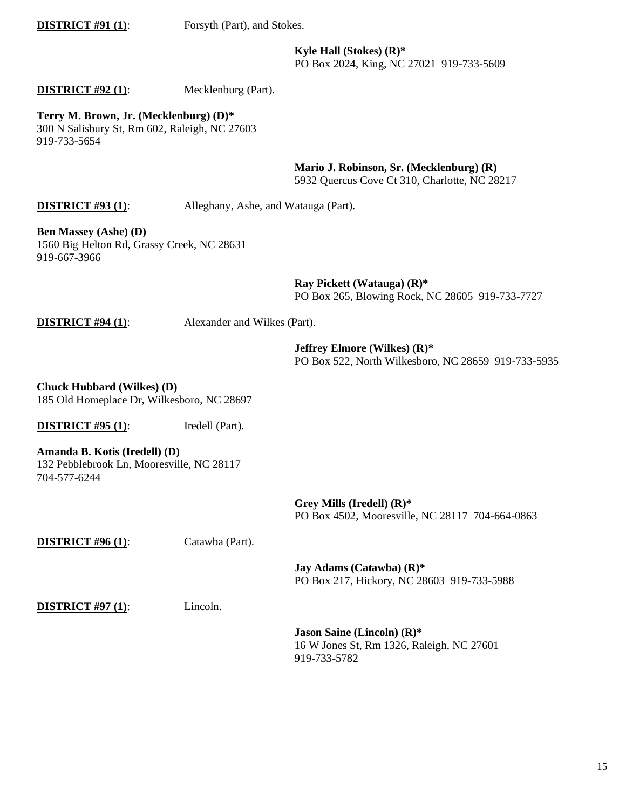**DISTRICT #91 (1):** Forsyth (Part), and Stokes.

**Kyle Hall (Stokes) (R)\***  PO Box 2024, King, NC 27021 919-733-5609

## **DISTRICT #92 (1):** Mecklenburg (Part).

**Terry M. Brown, Jr. (Mecklenburg) (D)\*** 300 N Salisbury St, Rm 602, Raleigh, NC 27603 919-733-5654

**Mario J. Robinson, Sr. (Mecklenburg) (R)**

5932 Quercus Cove Ct 310, Charlotte, NC 28217

## **DISTRICT #93 (1):** Alleghany, Ashe, and Watauga (Part).

**Ben Massey (Ashe) (D)** 1560 Big Helton Rd, Grassy Creek, NC 28631 919-667-3966

> **Ray Pickett (Watauga) (R)\*** PO Box 265, Blowing Rock, NC 28605 919-733-7727

**DISTRICT #94 (1)**: Alexander and Wilkes (Part).

**Jeffrey Elmore (Wilkes) (R)\*** PO Box 522, North Wilkesboro, NC 28659 919-733-5935

**Chuck Hubbard (Wilkes) (D)** 185 Old Homeplace Dr, Wilkesboro, NC 28697

**DISTRICT #95 (1):** Iredell (Part).

**Amanda B. Kotis (Iredell) (D)** 132 Pebblebrook Ln, Mooresville, NC 28117 704-577-6244

> **Grey Mills (Iredell) (R)\*** PO Box 4502, Mooresville, NC 28117 704-664-0863

**DISTRICT #96 (1)**: Catawba (Part).

**Jay Adams (Catawba) (R)\*** PO Box 217, Hickory, NC 28603 919-733-5988

**DISTRICT #97 (1):** Lincoln.

**Jason Saine (Lincoln) (R)\***  16 W Jones St, Rm 1326, Raleigh, NC 27601 919-733-5782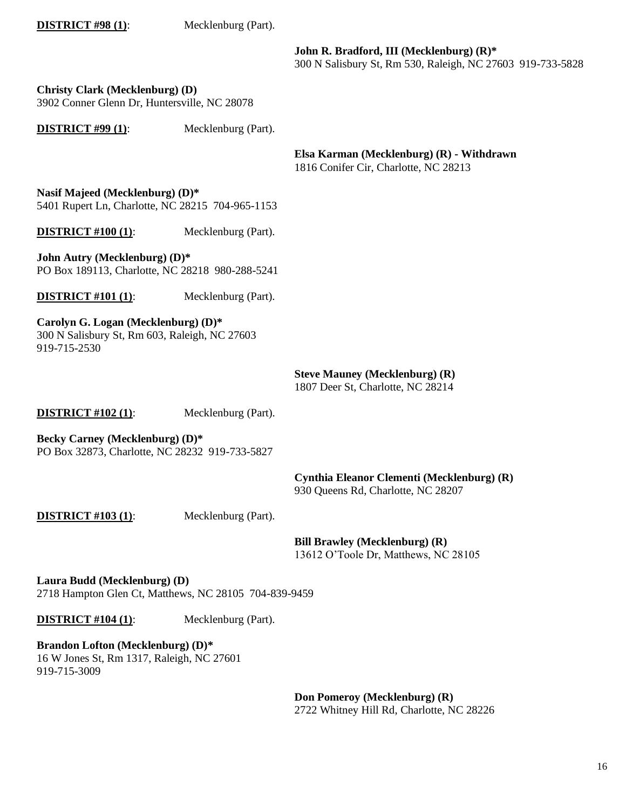**DISTRICT #98 (1):** Mecklenburg (Part).

**John R. Bradford, III (Mecklenburg) (R)\*** 300 N Salisbury St, Rm 530, Raleigh, NC 27603 919-733-5828

**Christy Clark (Mecklenburg) (D)** 3902 Conner Glenn Dr, Huntersville, NC 28078

**DISTRICT #99 (1):** Mecklenburg (Part).

**Elsa Karman (Mecklenburg) (R) - Withdrawn**

1816 Conifer Cir, Charlotte, NC 28213

**Nasif Majeed (Mecklenburg) (D)\*** 5401 Rupert Ln, Charlotte, NC 28215 704-965-1153

**DISTRICT #100 (1)**: Mecklenburg (Part).

**John Autry (Mecklenburg) (D)\*** PO Box 189113, Charlotte, NC 28218 980-288-5241

**DISTRICT #101 (1)**: Mecklenburg (Part).

**Carolyn G. Logan (Mecklenburg) (D)\*** 300 N Salisbury St, Rm 603, Raleigh, NC 27603 919-715-2530

## **Steve Mauney (Mecklenburg) (R)**

1807 Deer St, Charlotte, NC 28214

**DISTRICT #102 (1)**: Mecklenburg (Part).

**Becky Carney (Mecklenburg) (D)\*** PO Box 32873, Charlotte, NC 28232 919-733-5827

**Cynthia Eleanor Clementi (Mecklenburg) (R)**

930 Queens Rd, Charlotte, NC 28207

**DISTRICT #103 (1)**: Mecklenburg (Part).

**Bill Brawley (Mecklenburg) (R)**

13612 O'Toole Dr, Matthews, NC 28105

**Laura Budd (Mecklenburg) (D)** 2718 Hampton Glen Ct, Matthews, NC 28105 704-839-9459

**DISTRICT #104 (1)**: Mecklenburg (Part).

**Brandon Lofton (Mecklenburg) (D)\***

16 W Jones St, Rm 1317, Raleigh, NC 27601 919-715-3009

> **Don Pomeroy (Mecklenburg) (R)** 2722 Whitney Hill Rd, Charlotte, NC 28226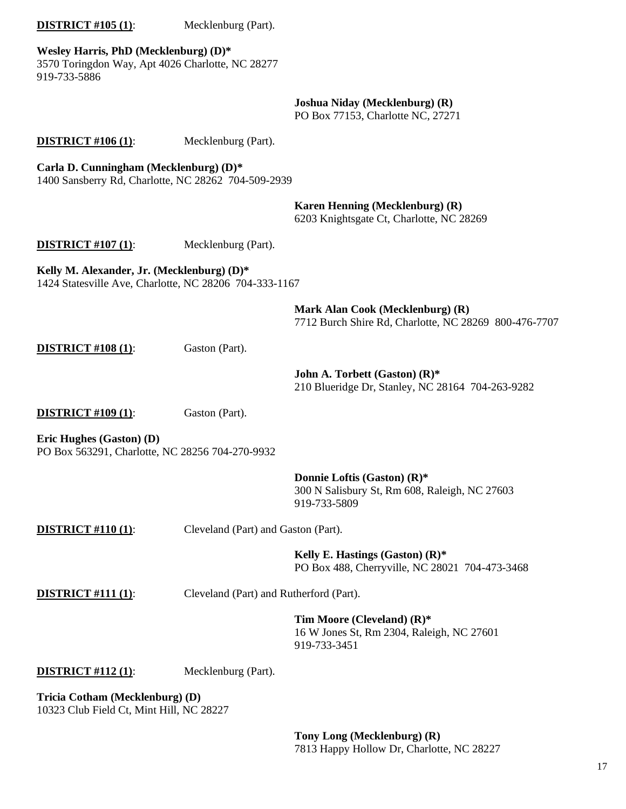# **DISTRICT #105 (1)**: Mecklenburg (Part). **Wesley Harris, PhD (Mecklenburg) (D)\*** 3570 Toringdon Way, Apt 4026 Charlotte, NC 28277 919-733-5886 **Joshua Niday (Mecklenburg) (R)** PO Box 77153, Charlotte NC, 27271 **DISTRICT #106 (1)**: Mecklenburg (Part). **Carla D. Cunningham (Mecklenburg) (D)\*** 1400 Sansberry Rd, Charlotte, NC 28262 704-509-2939 **Karen Henning (Mecklenburg) (R)** 6203 Knightsgate Ct, Charlotte, NC 28269 **DISTRICT #107 (1)**: Mecklenburg (Part). **Kelly M. Alexander, Jr. (Mecklenburg) (D)\*** 1424 Statesville Ave, Charlotte, NC 28206 704-333-1167 **Mark Alan Cook (Mecklenburg) (R)** 7712 Burch Shire Rd, Charlotte, NC 28269 800-476-7707 **DISTRICT #108 (1):** Gaston (Part). **John A. Torbett (Gaston) (R)\*** 210 Blueridge Dr, Stanley, NC 28164 704-263-9282 **DISTRICT #109 (1):** Gaston (Part). **Eric Hughes (Gaston) (D)** PO Box 563291, Charlotte, NC 28256 704-270-9932 **Donnie Loftis (Gaston) (R)\*** 300 N Salisbury St, Rm 608, Raleigh, NC 27603 919-733-5809 **DISTRICT #110 (1)**: Cleveland (Part) and Gaston (Part). **Kelly E. Hastings (Gaston) (R)\*** PO Box 488, Cherryville, NC 28021 704-473-3468 **DISTRICT #111 (1)**: Cleveland (Part) and Rutherford (Part). **Tim Moore (Cleveland) (R)\*** 16 W Jones St, Rm 2304, Raleigh, NC 27601 919-733-3451 **DISTRICT #112 (1)**: Mecklenburg (Part). **Tricia Cotham (Mecklenburg) (D)** 10323 Club Field Ct, Mint Hill, NC 28227

**Tony Long (Mecklenburg) (R)** 7813 Happy Hollow Dr, Charlotte, NC 28227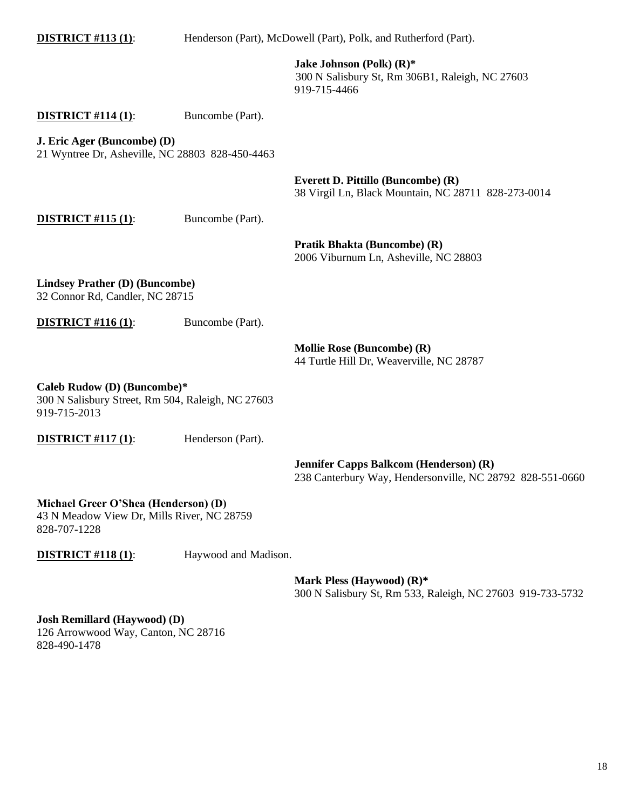| <b>DISTRICT #113 (1):</b>                                                                        | Henderson (Part), McDowell (Part), Polk, and Rutherford (Part). |                                                                                                            |
|--------------------------------------------------------------------------------------------------|-----------------------------------------------------------------|------------------------------------------------------------------------------------------------------------|
|                                                                                                  |                                                                 | Jake Johnson (Polk) (R)*<br>300 N Salisbury St, Rm 306B1, Raleigh, NC 27603<br>919-715-4466                |
| <b>DISTRICT</b> #114 (1):                                                                        | Buncombe (Part).                                                |                                                                                                            |
| J. Eric Ager (Buncombe) (D)<br>21 Wyntree Dr, Asheville, NC 28803 828-450-4463                   |                                                                 |                                                                                                            |
|                                                                                                  |                                                                 | Everett D. Pittillo (Buncombe) (R)<br>38 Virgil Ln, Black Mountain, NC 28711 828-273-0014                  |
| <b>DISTRICT #115 (1):</b>                                                                        | Buncombe (Part).                                                |                                                                                                            |
|                                                                                                  |                                                                 | Pratik Bhakta (Buncombe) (R)<br>2006 Viburnum Ln, Asheville, NC 28803                                      |
| <b>Lindsey Prather (D) (Buncombe)</b><br>32 Connor Rd, Candler, NC 28715                         |                                                                 |                                                                                                            |
| <b>DISTRICT #116 (1):</b>                                                                        | Buncombe (Part).                                                |                                                                                                            |
|                                                                                                  |                                                                 | <b>Mollie Rose (Buncombe) (R)</b><br>44 Turtle Hill Dr, Weaverville, NC 28787                              |
| Caleb Rudow (D) (Buncombe)*<br>300 N Salisbury Street, Rm 504, Raleigh, NC 27603<br>919-715-2013 |                                                                 |                                                                                                            |
| <b>DISTRICT #117 (1):</b>                                                                        | Henderson (Part).                                               |                                                                                                            |
|                                                                                                  |                                                                 | <b>Jennifer Capps Balkcom (Henderson) (R)</b><br>238 Canterbury Way, Hendersonville, NC 28792 828-551-0660 |
| Michael Greer O'Shea (Henderson) (D)<br>43 N Moadow View Dr. Mills River, NC 28750               |                                                                 |                                                                                                            |

43 N Meadow View Dr, Mills River, NC 28759 828-707-1228

**DISTRICT #118 (1):** Haywood and Madison.

**Mark Pless (Haywood) (R)\*** 300 N Salisbury St, Rm 533, Raleigh, NC 27603 919-733-5732

**Josh Remillard (Haywood) (D)** 126 Arrowwood Way, Canton, NC 28716 828-490-1478